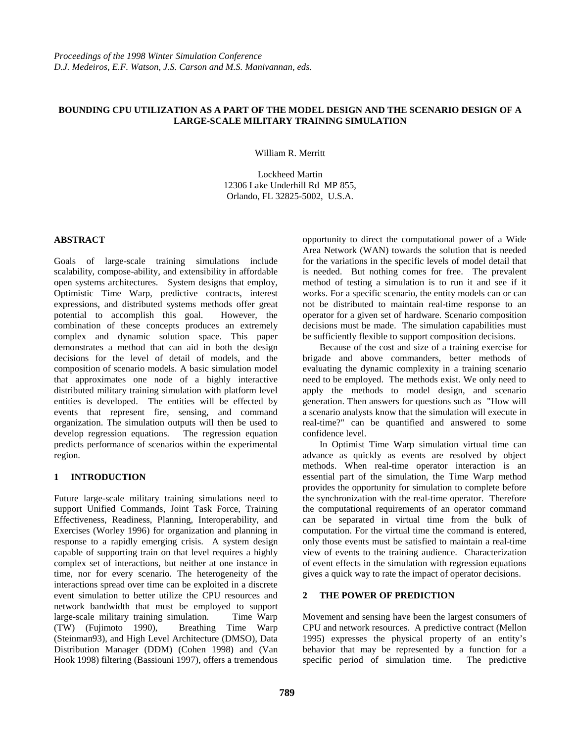## **BOUNDING CPU UTILIZATION AS A PART OF THE MODEL DESIGN AND THE SCENARIO DESIGN OF A LARGE-SCALE MILITARY TRAINING SIMULATION**

William R. Merritt

Lockheed Martin 12306 Lake Underhill Rd MP 855, Orlando, FL 32825-5002, U.S.A.

## **ABSTRACT**

Goals of large-scale training simulations include scalability, compose-ability, and extensibility in affordable open systems architectures. System designs that employ, Optimistic Time Warp, predictive contracts, interest expressions, and distributed systems methods offer great potential to accomplish this goal. However, the combination of these concepts produces an extremely complex and dynamic solution space. This paper demonstrates a method that can aid in both the design decisions for the level of detail of models, and the composition of scenario models. A basic simulation model that approximates one node of a highly interactive distributed military training simulation with platform level entities is developed. The entities will be effected by events that represent fire, sensing, and command organization. The simulation outputs will then be used to develop regression equations. The regression equation predicts performance of scenarios within the experimental region.

### **1 INTRODUCTION**

Future large-scale military training simulations need to support Unified Commands, Joint Task Force, Training Effectiveness, Readiness, Planning, Interoperability, and Exercises (Worley 1996) for organization and planning in response to a rapidly emerging crisis. A system design capable of supporting train on that level requires a highly complex set of interactions, but neither at one instance in time, nor for every scenario. The heterogeneity of the interactions spread over time can be exploited in a discrete event simulation to better utilize the CPU resources and network bandwidth that must be employed to support large-scale military training simulation. Time Warp (TW) (Fujimoto 1990), Breathing Time Warp (Steinman93), and High Level Architecture (DMSO), Data Distribution Manager (DDM) (Cohen 1998) and (Van Hook 1998) filtering (Bassiouni 1997), offers a tremendous

opportunity to direct the computational power of a Wide Area Network (WAN) towards the solution that is needed for the variations in the specific levels of model detail that is needed. But nothing comes for free. The prevalent method of testing a simulation is to run it and see if it works. For a specific scenario, the entity models can or can not be distributed to maintain real-time response to an operator for a given set of hardware. Scenario composition decisions must be made. The simulation capabilities must be sufficiently flexible to support composition decisions.

Because of the cost and size of a training exercise for brigade and above commanders, better methods of evaluating the dynamic complexity in a training scenario need to be employed. The methods exist. We only need to apply the methods to model design, and scenario generation. Then answers for questions such as "How will a scenario analysts know that the simulation will execute in real-time?" can be quantified and answered to some confidence level.

In Optimist Time Warp simulation virtual time can advance as quickly as events are resolved by object methods. When real-time operator interaction is an essential part of the simulation, the Time Warp method provides the opportunity for simulation to complete before the synchronization with the real-time operator. Therefore the computational requirements of an operator command can be separated in virtual time from the bulk of computation. For the virtual time the command is entered, only those events must be satisfied to maintain a real-time view of events to the training audience. Characterization of event effects in the simulation with regression equations gives a quick way to rate the impact of operator decisions.

### **2 THE POWER OF PREDICTION**

Movement and sensing have been the largest consumers of CPU and network resources. A predictive contract (Mellon 1995) expresses the physical property of an entity's behavior that may be represented by a function for a specific period of simulation time. The predictive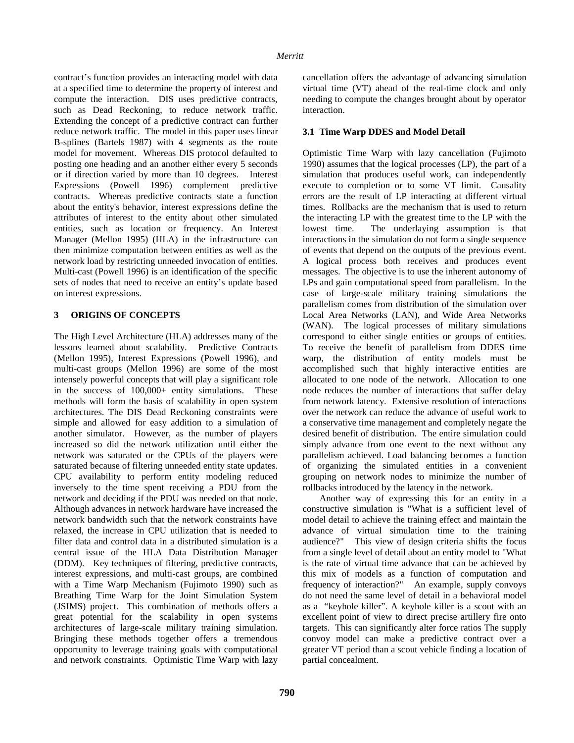contract's function provides an interacting model with data at a specified time to determine the property of interest and compute the interaction. DIS uses predictive contracts, such as Dead Reckoning, to reduce network traffic. Extending the concept of a predictive contract can further reduce network traffic. The model in this paper uses linear B-splines (Bartels 1987) with 4 segments as the route model for movement. Whereas DIS protocol defaulted to posting one heading and an another either every 5 seconds or if direction varied by more than 10 degrees. Interest Expressions (Powell 1996) complement predictive contracts. Whereas predictive contracts state a function about the entity's behavior, interest expressions define the attributes of interest to the entity about other simulated entities, such as location or frequency. An Interest Manager (Mellon 1995) (HLA) in the infrastructure can then minimize computation between entities as well as the network load by restricting unneeded invocation of entities. Multi-cast (Powell 1996) is an identification of the specific sets of nodes that need to receive an entity's update based on interest expressions.

# **3 ORIGINS OF CONCEPTS**

The High Level Architecture (HLA) addresses many of the lessons learned about scalability. Predictive Contracts (Mellon 1995), Interest Expressions (Powell 1996), and multi-cast groups (Mellon 1996) are some of the most intensely powerful concepts that will play a significant role in the success of 100,000+ entity simulations. These methods will form the basis of scalability in open system architectures. The DIS Dead Reckoning constraints were simple and allowed for easy addition to a simulation of another simulator. However, as the number of players increased so did the network utilization until either the network was saturated or the CPUs of the players were saturated because of filtering unneeded entity state updates. CPU availability to perform entity modeling reduced inversely to the time spent receiving a PDU from the network and deciding if the PDU was needed on that node. Although advances in network hardware have increased the network bandwidth such that the network constraints have relaxed, the increase in CPU utilization that is needed to filter data and control data in a distributed simulation is a central issue of the HLA Data Distribution Manager (DDM). Key techniques of filtering, predictive contracts, interest expressions, and multi-cast groups, are combined with a Time Warp Mechanism (Fujimoto 1990) such as Breathing Time Warp for the Joint Simulation System (JSIMS) project. This combination of methods offers a great potential for the scalability in open systems architectures of large-scale military training simulation. Bringing these methods together offers a tremendous opportunity to leverage training goals with computational and network constraints. Optimistic Time Warp with lazy cancellation offers the advantage of advancing simulation virtual time (VT) ahead of the real-time clock and only needing to compute the changes brought about by operator interaction.

# **3.1 Time Warp DDES and Model Detail**

Optimistic Time Warp with lazy cancellation (Fujimoto 1990) assumes that the logical processes (LP), the part of a simulation that produces useful work, can independently execute to completion or to some VT limit. Causality errors are the result of LP interacting at different virtual times. Rollbacks are the mechanism that is used to return the interacting LP with the greatest time to the LP with the lowest time. The underlaying assumption is that interactions in the simulation do not form a single sequence of events that depend on the outputs of the previous event. A logical process both receives and produces event messages. The objective is to use the inherent autonomy of LPs and gain computational speed from parallelism. In the case of large-scale military training simulations the parallelism comes from distribution of the simulation over Local Area Networks (LAN), and Wide Area Networks (WAN). The logical processes of military simulations correspond to either single entities or groups of entities. To receive the benefit of parallelism from DDES time warp, the distribution of entity models must be accomplished such that highly interactive entities are allocated to one node of the network. Allocation to one node reduces the number of interactions that suffer delay from network latency. Extensive resolution of interactions over the network can reduce the advance of useful work to a conservative time management and completely negate the desired benefit of distribution. The entire simulation could simply advance from one event to the next without any parallelism achieved. Load balancing becomes a function of organizing the simulated entities in a convenient grouping on network nodes to minimize the number of rollbacks introduced by the latency in the network.

Another way of expressing this for an entity in a constructive simulation is "What is a sufficient level of model detail to achieve the training effect and maintain the advance of virtual simulation time to the training audience?" This view of design criteria shifts the focus from a single level of detail about an entity model to "What is the rate of virtual time advance that can be achieved by this mix of models as a function of computation and frequency of interaction?" An example, supply convoys do not need the same level of detail in a behavioral model as a "keyhole killer". A keyhole killer is a scout with an excellent point of view to direct precise artillery fire onto targets. This can significantly alter force ratios The supply convoy model can make a predictive contract over a greater VT period than a scout vehicle finding a location of partial concealment.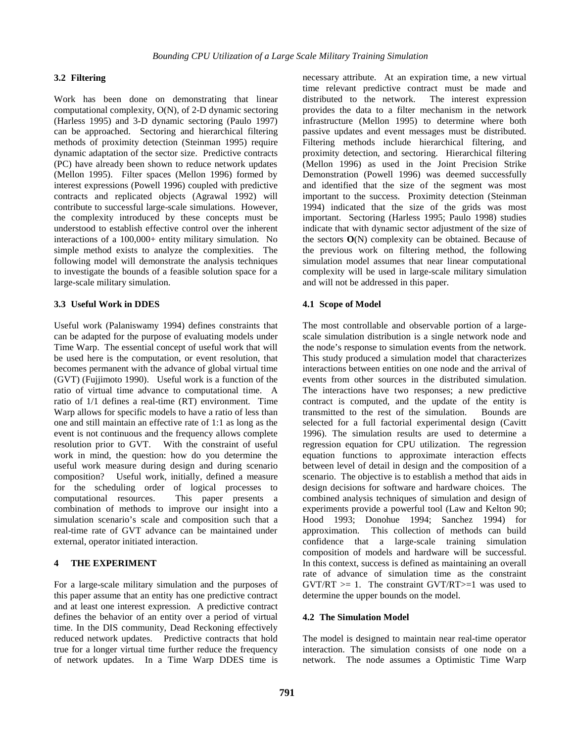## **3.2 Filtering**

Work has been done on demonstrating that linear computational complexity, O(N), of 2-D dynamic sectoring (Harless 1995) and 3-D dynamic sectoring (Paulo 1997) can be approached. Sectoring and hierarchical filtering methods of proximity detection (Steinman 1995) require dynamic adaptation of the sector size. Predictive contracts (PC) have already been shown to reduce network updates (Mellon 1995). Filter spaces (Mellon 1996) formed by interest expressions (Powell 1996) coupled with predictive contracts and replicated objects (Agrawal 1992) will contribute to successful large-scale simulations. However, the complexity introduced by these concepts must be understood to establish effective control over the inherent interactions of a 100,000+ entity military simulation. No simple method exists to analyze the complexities. The following model will demonstrate the analysis techniques to investigate the bounds of a feasible solution space for a large-scale military simulation.

### **3.3 Useful Work in DDES**

Useful work (Palaniswamy 1994) defines constraints that can be adapted for the purpose of evaluating models under Time Warp. The essential concept of useful work that will be used here is the computation, or event resolution, that becomes permanent with the advance of global virtual time (GVT) (Fujjimoto 1990). Useful work is a function of the ratio of virtual time advance to computational time. A ratio of 1/1 defines a real-time (RT) environment. Time Warp allows for specific models to have a ratio of less than one and still maintain an effective rate of 1:1 as long as the event is not continuous and the frequency allows complete resolution prior to GVT. With the constraint of useful work in mind, the question: how do you determine the useful work measure during design and during scenario composition? Useful work, initially, defined a measure for the scheduling order of logical processes to computational resources. This paper presents a combination of methods to improve our insight into a simulation scenario's scale and composition such that a real-time rate of GVT advance can be maintained under external, operator initiated interaction.

# **4 THE EXPERIMENT**

For a large-scale military simulation and the purposes of this paper assume that an entity has one predictive contract and at least one interest expression. A predictive contract defines the behavior of an entity over a period of virtual time. In the DIS community, Dead Reckoning effectively reduced network updates. Predictive contracts that hold true for a longer virtual time further reduce the frequency of network updates. In a Time Warp DDES time is necessary attribute. At an expiration time, a new virtual time relevant predictive contract must be made and distributed to the network. The interest expression provides the data to a filter mechanism in the network infrastructure (Mellon 1995) to determine where both passive updates and event messages must be distributed. Filtering methods include hierarchical filtering, and proximity detection, and sectoring. Hierarchical filtering (Mellon 1996) as used in the Joint Precision Strike Demonstration (Powell 1996) was deemed successfully and identified that the size of the segment was most important to the success. Proximity detection (Steinman 1994) indicated that the size of the grids was most important. Sectoring (Harless 1995; Paulo 1998) studies indicate that with dynamic sector adjustment of the size of the sectors **O**(N) complexity can be obtained. Because of the previous work on filtering method, the following simulation model assumes that near linear computational complexity will be used in large-scale military simulation and will not be addressed in this paper.

# **4.1 Scope of Model**

The most controllable and observable portion of a largescale simulation distribution is a single network node and the node's response to simulation events from the network. This study produced a simulation model that characterizes interactions between entities on one node and the arrival of events from other sources in the distributed simulation. The interactions have two responses; a new predictive contract is computed, and the update of the entity is transmitted to the rest of the simulation. Bounds are selected for a full factorial experimental design (Cavitt 1996). The simulation results are used to determine a regression equation for CPU utilization. The regression equation functions to approximate interaction effects between level of detail in design and the composition of a scenario. The objective is to establish a method that aids in design decisions for software and hardware choices. The combined analysis techniques of simulation and design of experiments provide a powerful tool (Law and Kelton 90; Hood 1993; Donohue 1994; Sanchez 1994) for approximation. This collection of methods can build confidence that a large-scale training simulation composition of models and hardware will be successful. In this context, success is defined as maintaining an overall rate of advance of simulation time as the constraint  $GVT/RT \geq 1$ . The constraint  $GVT/RT \geq 1$  was used to determine the upper bounds on the model.

### **4.2 The Simulation Model**

The model is designed to maintain near real-time operator interaction. The simulation consists of one node on a network. The node assumes a Optimistic Time Warp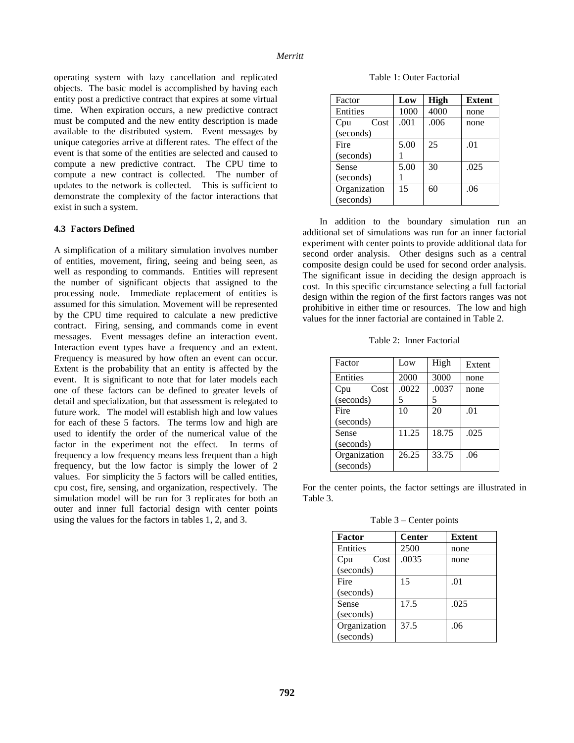operating system with lazy cancellation and replicated objects. The basic model is accomplished by having each entity post a predictive contract that expires at some virtual time. When expiration occurs, a new predictive contract must be computed and the new entity description is made available to the distributed system. Event messages by unique categories arrive at different rates. The effect of the event is that some of the entities are selected and caused to compute a new predictive contract. The CPU time to compute a new contract is collected. The number of updates to the network is collected. This is sufficient to demonstrate the complexity of the factor interactions that exist in such a system.

#### **4.3 Factors Defined**

A simplification of a military simulation involves number of entities, movement, firing, seeing and being seen, as well as responding to commands. Entities will represent the number of significant objects that assigned to the processing node. Immediate replacement of entities is assumed for this simulation. Movement will be represented by the CPU time required to calculate a new predictive contract. Firing, sensing, and commands come in event messages. Event messages define an interaction event. Interaction event types have a frequency and an extent. Frequency is measured by how often an event can occur. Extent is the probability that an entity is affected by the event. It is significant to note that for later models each one of these factors can be defined to greater levels of detail and specialization, but that assessment is relegated to future work. The model will establish high and low values for each of these 5 factors. The terms low and high are used to identify the order of the numerical value of the factor in the experiment not the effect. In terms of frequency a low frequency means less frequent than a high frequency, but the low factor is simply the lower of 2 values. For simplicity the 5 factors will be called entities, cpu cost, fire, sensing, and organization, respectively. The simulation model will be run for 3 replicates for both an outer and inner full factorial design with center points using the values for the factors in tables 1, 2, and 3.

Table 1: Outer Factorial

| Factor       | Low  | High | <b>Extent</b> |
|--------------|------|------|---------------|
| Entities     | 1000 | 4000 | none          |
| Cost<br>Cpu  | .001 | .006 | none          |
| (seconds)    |      |      |               |
| Fire         | 5.00 | 25   | .01           |
| (seconds)    |      |      |               |
| Sense        | 5.00 | 30   | .025          |
| (seconds)    |      |      |               |
| Organization | 15   | 60   | .06           |
| (seconds)    |      |      |               |

In addition to the boundary simulation run an additional set of simulations was run for an inner factorial experiment with center points to provide additional data for second order analysis. Other designs such as a central composite design could be used for second order analysis. The significant issue in deciding the design approach is cost. In this specific circumstance selecting a full factorial design within the region of the first factors ranges was not prohibitive in either time or resources. The low and high values for the inner factorial are contained in Table 2.

Table 2: Inner Factorial

| Factor       | Low   | High  | Extent |
|--------------|-------|-------|--------|
| Entities     | 2000  | 3000  | none   |
| Cost<br>Cpu  | .0022 | .0037 | none   |
| (seconds)    | 5     | 5     |        |
| Fire         | 10    | 20    | .01    |
| (seconds)    |       |       |        |
| Sense        | 11.25 | 18.75 | .025   |
| (seconds)    |       |       |        |
| Organization | 26.25 | 33.75 | .06    |
| (seconds)    |       |       |        |

For the center points, the factor settings are illustrated in Table 3.

Table 3 – Center points

| Factor       | <b>Center</b> | <b>Extent</b> |
|--------------|---------------|---------------|
| Entities     | 2500          | none          |
| Cost<br>Cpu  | .0035         | none          |
| (seconds)    |               |               |
| Fire         | 15            | .01           |
| (seconds)    |               |               |
| Sense        | 17.5          | .025          |
| (seconds)    |               |               |
| Organization | 37.5          | .06           |
| (seconds)    |               |               |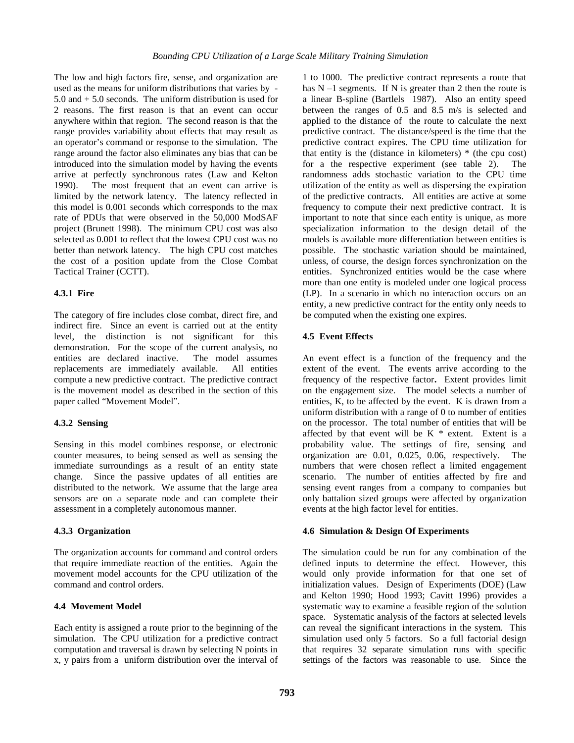The low and high factors fire, sense, and organization are used as the means for uniform distributions that varies by - 5.0 and + 5.0 seconds. The uniform distribution is used for 2 reasons. The first reason is that an event can occur anywhere within that region. The second reason is that the range provides variability about effects that may result as an operator's command or response to the simulation. The range around the factor also eliminates any bias that can be introduced into the simulation model by having the events arrive at perfectly synchronous rates (Law and Kelton 1990). The most frequent that an event can arrive is limited by the network latency. The latency reflected in this model is 0.001 seconds which corresponds to the max rate of PDUs that were observed in the 50,000 ModSAF project (Brunett 1998). The minimum CPU cost was also selected as 0.001 to reflect that the lowest CPU cost was no better than network latency. The high CPU cost matches the cost of a position update from the Close Combat Tactical Trainer (CCTT).

## **4.3.1 Fire**

The category of fire includes close combat, direct fire, and indirect fire. Since an event is carried out at the entity level, the distinction is not significant for this demonstration. For the scope of the current analysis, no entities are declared inactive. The model assumes replacements are immediately available. All entities compute a new predictive contract. The predictive contract is the movement model as described in the section of this paper called "Movement Model".

# **4.3.2 Sensing**

Sensing in this model combines response, or electronic counter measures, to being sensed as well as sensing the immediate surroundings as a result of an entity state change. Since the passive updates of all entities are distributed to the network. We assume that the large area sensors are on a separate node and can complete their assessment in a completely autonomous manner.

# **4.3.3 Organization**

The organization accounts for command and control orders that require immediate reaction of the entities. Again the movement model accounts for the CPU utilization of the command and control orders.

# **4.4 Movement Model**

Each entity is assigned a route prior to the beginning of the simulation. The CPU utilization for a predictive contract computation and traversal is drawn by selecting N points in x, y pairs from a uniform distribution over the interval of

1 to 1000. The predictive contract represents a route that has  $N - 1$  segments. If N is greater than 2 then the route is a linear B-spline (Bartlels 1987). Also an entity speed between the ranges of 0.5 and 8.5 m/s is selected and applied to the distance of the route to calculate the next predictive contract. The distance/speed is the time that the predictive contract expires. The CPU time utilization for that entity is the (distance in kilometers)  $*$  (the cpu cost) for a the respective experiment (see table 2). The randomness adds stochastic variation to the CPU time utilization of the entity as well as dispersing the expiration of the predictive contracts. All entities are active at some frequency to compute their next predictive contract. It is important to note that since each entity is unique, as more specialization information to the design detail of the models is available more differentiation between entities is possible. The stochastic variation should be maintained, unless, of course, the design forces synchronization on the entities. Synchronized entities would be the case where more than one entity is modeled under one logical process (LP). In a scenario in which no interaction occurs on an entity, a new predictive contract for the entity only needs to be computed when the existing one expires.

# **4.5 Event Effects**

An event effect is a function of the frequency and the extent of the event. The events arrive according to the frequency of the respective factor**.** Extent provides limit on the engagement size. The model selects a number of entities, K, to be affected by the event. K is drawn from a uniform distribution with a range of 0 to number of entities on the processor. The total number of entities that will be affected by that event will be  $K *$  extent. Extent is a probability value. The settings of fire, sensing and organization are 0.01, 0.025, 0.06, respectively. The numbers that were chosen reflect a limited engagement scenario. The number of entities affected by fire and sensing event ranges from a company to companies but only battalion sized groups were affected by organization events at the high factor level for entities.

### **4.6 Simulation & Design Of Experiments**

The simulation could be run for any combination of the defined inputs to determine the effect. However, this would only provide information for that one set of initialization values. Design of Experiments (DOE) (Law and Kelton 1990; Hood 1993; Cavitt 1996) provides a systematic way to examine a feasible region of the solution space. Systematic analysis of the factors at selected levels can reveal the significant interactions in the system. This simulation used only 5 factors. So a full factorial design that requires 32 separate simulation runs with specific settings of the factors was reasonable to use. Since the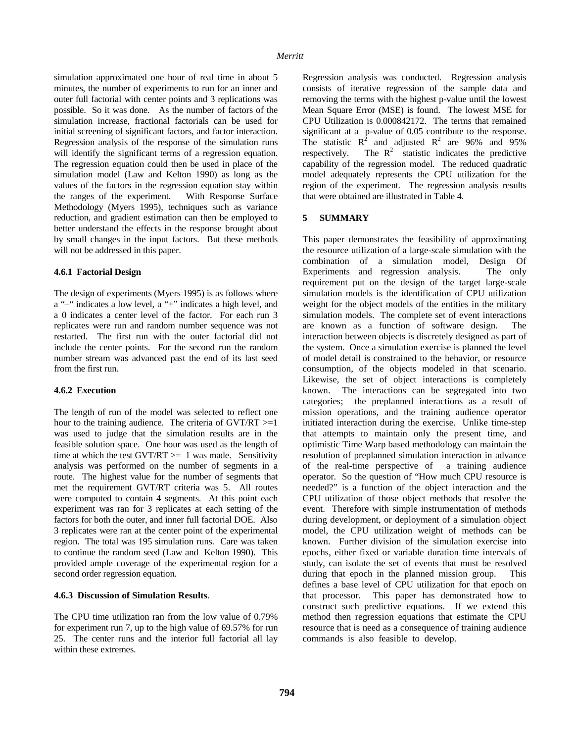simulation approximated one hour of real time in about 5 minutes, the number of experiments to run for an inner and outer full factorial with center points and 3 replications was possible. So it was done. As the number of factors of the simulation increase, fractional factorials can be used for initial screening of significant factors, and factor interaction. Regression analysis of the response of the simulation runs will identify the significant terms of a regression equation. The regression equation could then be used in place of the simulation model (Law and Kelton 1990) as long as the values of the factors in the regression equation stay within the ranges of the experiment. With Response Surface Methodology (Myers 1995), techniques such as variance reduction, and gradient estimation can then be employed to better understand the effects in the response brought about by small changes in the input factors. But these methods will not be addressed in this paper.

#### **4.6.1 Factorial Design**

The design of experiments (Myers 1995) is as follows where a "–" indicates a low level, a "+" indicates a high level, and a 0 indicates a center level of the factor. For each run 3 replicates were run and random number sequence was not restarted. The first run with the outer factorial did not include the center points. For the second run the random number stream was advanced past the end of its last seed from the first run.

## **4.6.2 Execution**

The length of run of the model was selected to reflect one hour to the training audience. The criteria of  $GVT/RT \geq 1$ was used to judge that the simulation results are in the feasible solution space. One hour was used as the length of time at which the test  $GVT/RT \geq 1$  was made. Sensitivity analysis was performed on the number of segments in a route. The highest value for the number of segments that met the requirement GVT/RT criteria was 5. All routes were computed to contain 4 segments. At this point each experiment was ran for 3 replicates at each setting of the factors for both the outer, and inner full factorial DOE. Also 3 replicates were ran at the center point of the experimental region. The total was 195 simulation runs. Care was taken to continue the random seed (Law and Kelton 1990). This provided ample coverage of the experimental region for a second order regression equation.

### **4.6.3 Discussion of Simulation Results**.

The CPU time utilization ran from the low value of 0.79% for experiment run 7, up to the high value of 69.57% for run 25. The center runs and the interior full factorial all lay within these extremes.

Regression analysis was conducted. Regression analysis consists of iterative regression of the sample data and removing the terms with the highest p-value until the lowest Mean Square Error (MSE) is found. The lowest MSE for CPU Utilization is 0.000842172. The terms that remained significant at a p-value of 0.05 contribute to the response. The statistic  $R^2$  and adjusted  $R^2$  are 96% and 95% respectively. The  $R^2$  statistic indicates the predictive capability of the regression model. The reduced quadratic model adequately represents the CPU utilization for the region of the experiment. The regression analysis results that were obtained are illustrated in Table 4.

## **5 SUMMARY**

This paper demonstrates the feasibility of approximating the resource utilization of a large-scale simulation with the combination of a simulation model, Design Of Experiments and regression analysis. The only requirement put on the design of the target large-scale simulation models is the identification of CPU utilization weight for the object models of the entities in the military simulation models. The complete set of event interactions are known as a function of software design. The interaction between objects is discretely designed as part of the system. Once a simulation exercise is planned the level of model detail is constrained to the behavior, or resource consumption, of the objects modeled in that scenario. Likewise, the set of object interactions is completely known. The interactions can be segregated into two categories; the preplanned interactions as a result of mission operations, and the training audience operator initiated interaction during the exercise. Unlike time-step that attempts to maintain only the present time, and optimistic Time Warp based methodology can maintain the resolution of preplanned simulation interaction in advance of the real-time perspective of a training audience operator. So the question of "How much CPU resource is needed?" is a function of the object interaction and the CPU utilization of those object methods that resolve the event. Therefore with simple instrumentation of methods during development, or deployment of a simulation object model, the CPU utilization weight of methods can be known. Further division of the simulation exercise into epochs, either fixed or variable duration time intervals of study, can isolate the set of events that must be resolved during that epoch in the planned mission group. This defines a base level of CPU utilization for that epoch on that processor. This paper has demonstrated how to construct such predictive equations. If we extend this method then regression equations that estimate the CPU resource that is need as a consequence of training audience commands is also feasible to develop.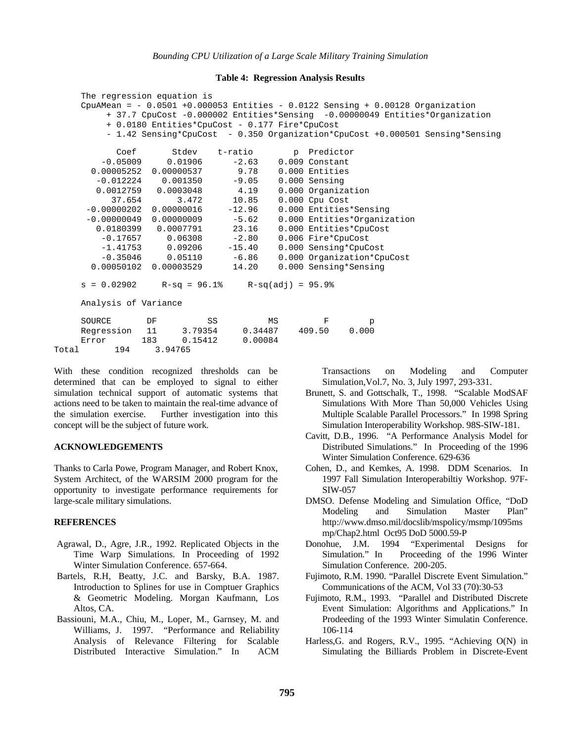#### **Table 4: Regression Analysis Results**

```
The regression equation is
    CpuAMean = - 0.0501 +0.000053 Entities - 0.0122 Sensing + 0.00128 Organization
          + 37.7 CpuCost -0.000002 Entities*Sensing -0.00000049 Entities*Organization
          + 0.0180 Entities*CpuCost - 0.177 Fire*CpuCost
         - 1.42 Sensing*CpuCost - 0.350 Organization*CpuCost +0.000501 Sensing*Sensing
         Coef Stdev t-ratio p Predictor
                              -2.63 0.009 Constant
      0.00005252  0.00000537  9.78  0.000 Entities<br>-0.012224  0.001350  -9.05  0.000 Sensing
        -0.012224 0.001350 -9.05 0.000 Sensing
        0.0012759 0.0003048 4.19 0.000 Organization
          37.654 3.472 10.85 0.000 Cpu Cost
      -0.00000202 0.00000016 -12.96 0.000 Entities*Sensing
      -0.00000049 0.00000009 -5.62 0.000 Entities*Organization
        0.0180399 0.0007791 23.16 0.000 Entities*CpuCost
         -0.17657 0.06308 -2.80 0.006 Fire*CpuCost
         -1.41753 0.09206 -15.40 0.000 Sensing*CpuCost
         -0.35046 0.05110 -6.86 0.000 Organization*CpuCost
       0.00050102 0.00003529 14.20 0.000 Sensing*Sensing
    s = 0.02902 R-sq = 96.1% R-sq(adj) = 95.9%
    Analysis of Variance
    SOURCE DF SS MS F p
    Regression 11 3.79354 0.34487 409.50 0.000
    Error 183 0.15412 0.00084
Total 194 3.94765
```
With these condition recognized thresholds can be determined that can be employed to signal to either simulation technical support of automatic systems that actions need to be taken to maintain the real-time advance of the simulation exercise. Further investigation into this concept will be the subject of future work.

#### **ACKNOWLEDGEMENTS**

Thanks to Carla Powe, Program Manager, and Robert Knox, System Architect, of the WARSIM 2000 program for the opportunity to investigate performance requirements for large-scale military simulations.

#### **REFERENCES**

- Agrawal, D., Agre, J.R., 1992. Replicated Objects in the Time Warp Simulations. In Proceeding of 1992 Winter Simulation Conference. 657-664.
- Bartels, R.H, Beatty, J.C. and Barsky, B.A. 1987. Introduction to Splines for use in Comptuer Graphics & Geometric Modeling. Morgan Kaufmann, Los Altos, CA.
- Bassiouni, M.A., Chiu, M., Loper, M., Garnsey, M. and Williams, J. 1997. "Performance and Reliability Analysis of Relevance Filtering for Scalable Distributed Interactive Simulation." In ACM

Transactions on Modeling and Computer Simulation,Vol.7, No. 3, July 1997, 293-331.

- Brunett, S. and Gottschalk, T., 1998. "Scalable ModSAF Simulations With More Than 50,000 Vehicles Using Multiple Scalable Parallel Processors." In 1998 Spring Simulation Interoperability Workshop. 98S-SIW-181.
- Cavitt, D.B., 1996. "A Performance Analysis Model for Distributed Simulations." In Proceeding of the 1996 Winter Simulation Conference. 629-636
- Cohen, D., and Kemkes, A. 1998. DDM Scenarios. In 1997 Fall Simulation Interoperabiltiy Workshop. 97F-SIW-057
- DMSO. Defense Modeling and Simulation Office, "DoD Modeling and Simulation Master Plan" http://www.dmso.mil/docslib/mspolicy/msmp/1095ms mp/Chap2.html Oct95 DoD 5000.59-P
- Donohue, J.M. 1994 "Experimental Designs for Simulation." In Proceeding of the 1996 Winter Simulation Conference. 200-205.
- Fujimoto, R.M. 1990. "Parallel Discrete Event Simulation." Communications of the ACM, Vol 33 (70):30-53
- Fujimoto, R.M., 1993. "Parallel and Distributed Discrete Event Simulation: Algorithms and Applications." In Prodeeding of the 1993 Winter Simulatin Conference. 106-114
- Harless,G. and Rogers, R.V., 1995. "Achieving O(N) in Simulating the Billiards Problem in Discrete-Event